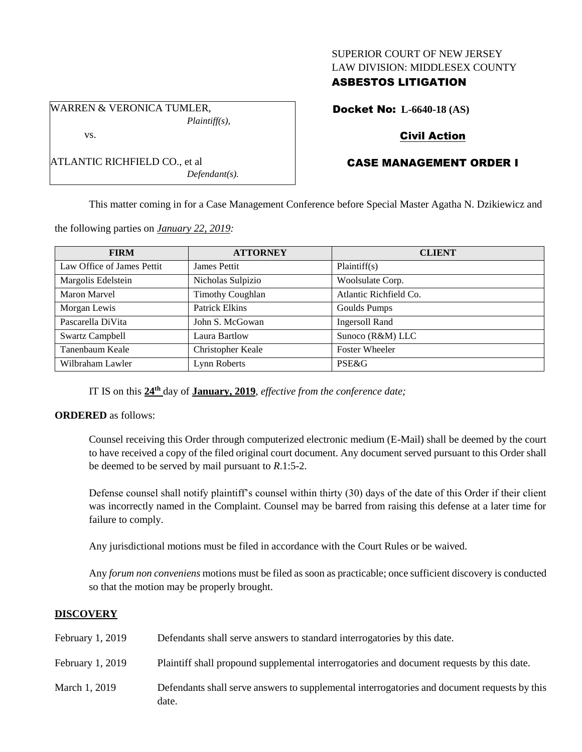#### SUPERIOR COURT OF NEW JERSEY LAW DIVISION: MIDDLESEX COUNTY

## ASBESTOS LITIGATION

WARREN & VERONICA TUMLER, *Plaintiff(s),*

ATLANTIC RICHFIELD CO., et al

vs.

Docket No: **L-6640-18 (AS)**

## Civil Action

# CASE MANAGEMENT ORDER I

This matter coming in for a Case Management Conference before Special Master Agatha N. Dzikiewicz and

the following parties on *January 22, 2019:*

| <b>FIRM</b>                | <b>ATTORNEY</b>         | <b>CLIENT</b>          |
|----------------------------|-------------------------|------------------------|
| Law Office of James Pettit | James Pettit            | Plaintiff(s)           |
| Margolis Edelstein         | Nicholas Sulpizio       | Woolsulate Corp.       |
| <b>Maron Marvel</b>        | <b>Timothy Coughlan</b> | Atlantic Richfield Co. |
| Morgan Lewis               | <b>Patrick Elkins</b>   | Goulds Pumps           |
| Pascarella DiVita          | John S. McGowan         | <b>Ingersoll Rand</b>  |
| <b>Swartz Campbell</b>     | Laura Bartlow           | Sunoco (R&M) LLC       |
| Tanenbaum Keale            | Christopher Keale       | <b>Foster Wheeler</b>  |
| Wilbraham Lawler           | Lynn Roberts            | PSE&G                  |

IT IS on this **24th** day of **January, 2019**, *effective from the conference date;*

*Defendant(s).*

### **ORDERED** as follows:

Counsel receiving this Order through computerized electronic medium (E-Mail) shall be deemed by the court to have received a copy of the filed original court document. Any document served pursuant to this Order shall be deemed to be served by mail pursuant to *R*.1:5-2.

Defense counsel shall notify plaintiff's counsel within thirty (30) days of the date of this Order if their client was incorrectly named in the Complaint. Counsel may be barred from raising this defense at a later time for failure to comply.

Any jurisdictional motions must be filed in accordance with the Court Rules or be waived.

Any *forum non conveniens* motions must be filed as soon as practicable; once sufficient discovery is conducted so that the motion may be properly brought.

### **DISCOVERY**

| February 1, 2019 | Defendants shall serve answers to standard interrogatories by this date.                              |
|------------------|-------------------------------------------------------------------------------------------------------|
| February 1, 2019 | Plaintiff shall propound supplemental interrogatories and document requests by this date.             |
| March 1, 2019    | Defendants shall serve answers to supplemental interrogatories and document requests by this<br>date. |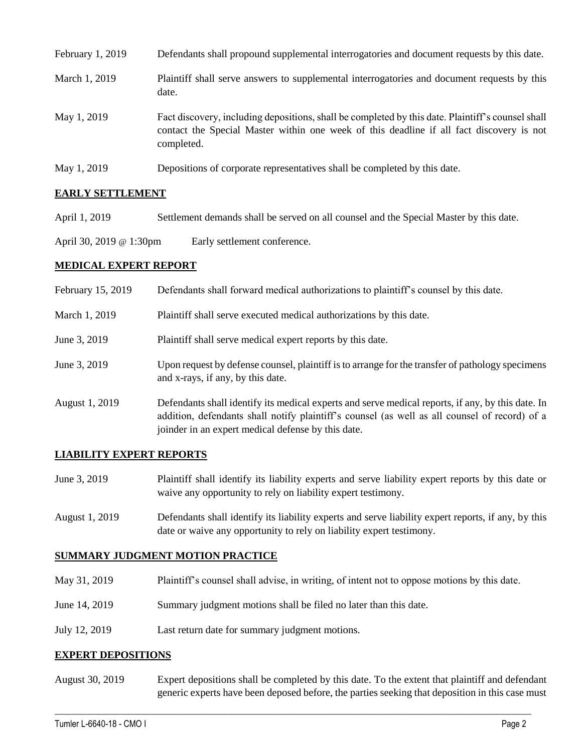| February 1, 2019 | Defendants shall propound supplemental interrogatories and document requests by this date.                                                                                                                  |
|------------------|-------------------------------------------------------------------------------------------------------------------------------------------------------------------------------------------------------------|
| March 1, 2019    | Plaintiff shall serve answers to supplemental interrogatories and document requests by this<br>date.                                                                                                        |
| May 1, 2019      | Fact discovery, including depositions, shall be completed by this date. Plaintiff's counsel shall<br>contact the Special Master within one week of this deadline if all fact discovery is not<br>completed. |
| May 1, 2019      | Depositions of corporate representatives shall be completed by this date.                                                                                                                                   |

### **EARLY SETTLEMENT**

- April 1, 2019 Settlement demands shall be served on all counsel and the Special Master by this date.
- April 30, 2019 @ 1:30pm Early settlement conference.

### **MEDICAL EXPERT REPORT**

| February 15, 2019 | Defendants shall forward medical authorizations to plaintiff's counsel by this date.                                                                                                                                                                     |
|-------------------|----------------------------------------------------------------------------------------------------------------------------------------------------------------------------------------------------------------------------------------------------------|
| March 1, 2019     | Plaintiff shall serve executed medical authorizations by this date.                                                                                                                                                                                      |
| June 3, 2019      | Plaintiff shall serve medical expert reports by this date.                                                                                                                                                                                               |
| June 3, 2019      | Upon request by defense counsel, plaintiff is to arrange for the transfer of pathology specimens<br>and x-rays, if any, by this date.                                                                                                                    |
| August 1, 2019    | Defendants shall identify its medical experts and serve medical reports, if any, by this date. In<br>addition, defendants shall notify plaintiff's counsel (as well as all counsel of record) of a<br>joinder in an expert medical defense by this date. |

### **LIABILITY EXPERT REPORTS**

- June 3, 2019 Plaintiff shall identify its liability experts and serve liability expert reports by this date or waive any opportunity to rely on liability expert testimony.
- August 1, 2019 Defendants shall identify its liability experts and serve liability expert reports, if any, by this date or waive any opportunity to rely on liability expert testimony.

### **SUMMARY JUDGMENT MOTION PRACTICE**

- May 31, 2019 Plaintiff's counsel shall advise, in writing, of intent not to oppose motions by this date.
- June 14, 2019 Summary judgment motions shall be filed no later than this date.
- July 12, 2019 Last return date for summary judgment motions.

### **EXPERT DEPOSITIONS**

August 30, 2019 Expert depositions shall be completed by this date. To the extent that plaintiff and defendant generic experts have been deposed before, the parties seeking that deposition in this case must

 $\_$  ,  $\_$  ,  $\_$  ,  $\_$  ,  $\_$  ,  $\_$  ,  $\_$  ,  $\_$  ,  $\_$  ,  $\_$  ,  $\_$  ,  $\_$  ,  $\_$  ,  $\_$  ,  $\_$  ,  $\_$  ,  $\_$  ,  $\_$  ,  $\_$  ,  $\_$  ,  $\_$  ,  $\_$  ,  $\_$  ,  $\_$  ,  $\_$  ,  $\_$  ,  $\_$  ,  $\_$  ,  $\_$  ,  $\_$  ,  $\_$  ,  $\_$  ,  $\_$  ,  $\_$  ,  $\_$  ,  $\_$  ,  $\_$  ,